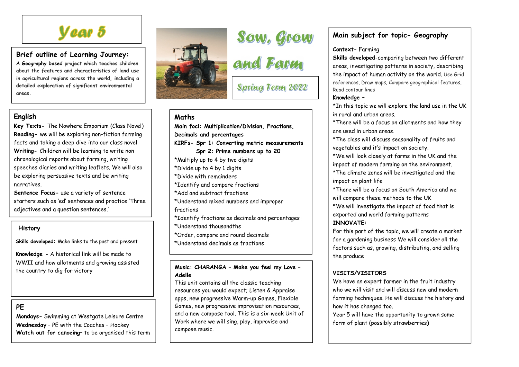# *Year 5*

## **Brief outline of Learning Journey:**

 **A Geography based project which teaches children about the features and characteristics of land use in agricultural regions across the world, including a detailed exploration of significant environmental areas.**

# **English**

 **Key Texts-** The Nowhere Emporium (Class Novel)**Reading-** we will be exploring non-fiction farming facts and taking a deep dive into our class novel **Writing-** Children will be learning to write non chronological reports about farming, writing speeches diaries and writing leaflets. We will alsobe exploring persuasive texts and be writing narratives.

**Sentence Focus-** use a variety of sentence starters such as 'ed' sentences and practice 'Three adjectives and a question sentences.'

#### **History**

**Skills developed:** Make links to the past and present

**Knowledge -** A historical link will be made to WWII and how allotments and growing assisted the country to dig for victory

## **PE**

 **Mondays-** Swimming at Westgate Leisure Centre **Wednesday** – PE with the Coaches – Hockey **Watch out for canoeing**– to be organised this term



# Sow, Grow<br>and Farm

**Spring Term 2022** 

## **Maths**

 **Main foci: Multiplication/Division, Fractions, Decimals and percentages KIRFs- Spr 1: Converting metric measurements Spr 2: Prime numbers up to 20** \*Multiply up to 4 by two digits \*Divide up to 4 by 1 digits \*Divide with remainders \*Identify and compare fractions \*Add and subtract fractions \*Understand mixed numbers and improper fractions \*Identify fractions as decimals and percentages \*Understand thousandths \*Order, compare and round decimals \*Understand decimals as fractions

**Music: CHARANGA – Make you feel my Love – Adelle** 

 This unit contains all the classic teaching resources you would expect; Listen & Appraise apps, new progressive Warm-up Games, Flexible Games, new progressive improvisation resources, and a new compose tool. This is a six-week Unit of Work where we will sing, play, improvise and compose music.

# **Main subject for topic- Geography**

#### **Context-** Farming

**Skills developed**-comparing between two different areas, investigating patterns in society, describing the impact of human activity on the world. Use Grid references, Draw maps, Compare geographical features, Read contour lines

#### **Knowledge –**

\*In this topic we will explore the land use in the UK in rural and urban areas.

\*There will be a focus on allotments and how they are used in urban areas.

\*The class will discuss seasonality of fruits and vegetables and it's impact on society.

\*We will look closely at farms in the UK and the impact of modern farming on the environment.

\*The climate zones will be investigated and the impact on plant life

\*There will be a focus on South America and we will compare these methods to the UK

\*We will investigate the impact of food that is exported and world farming patterns

#### **INNOVATE:**

For this part of the topic, we will create a marketfor a gardening business We will consider all the factors such as, growing, distributing, and sellingthe produce

#### **VISITS/VISITORS**

We have an expert farmer in the fruit industry who we will visit and will discuss new and modern farming techniques. He will discuss the history andhow it has changed too.

Year 5 will have the opportunity to grown some form of plant (possibly strawberries**)**